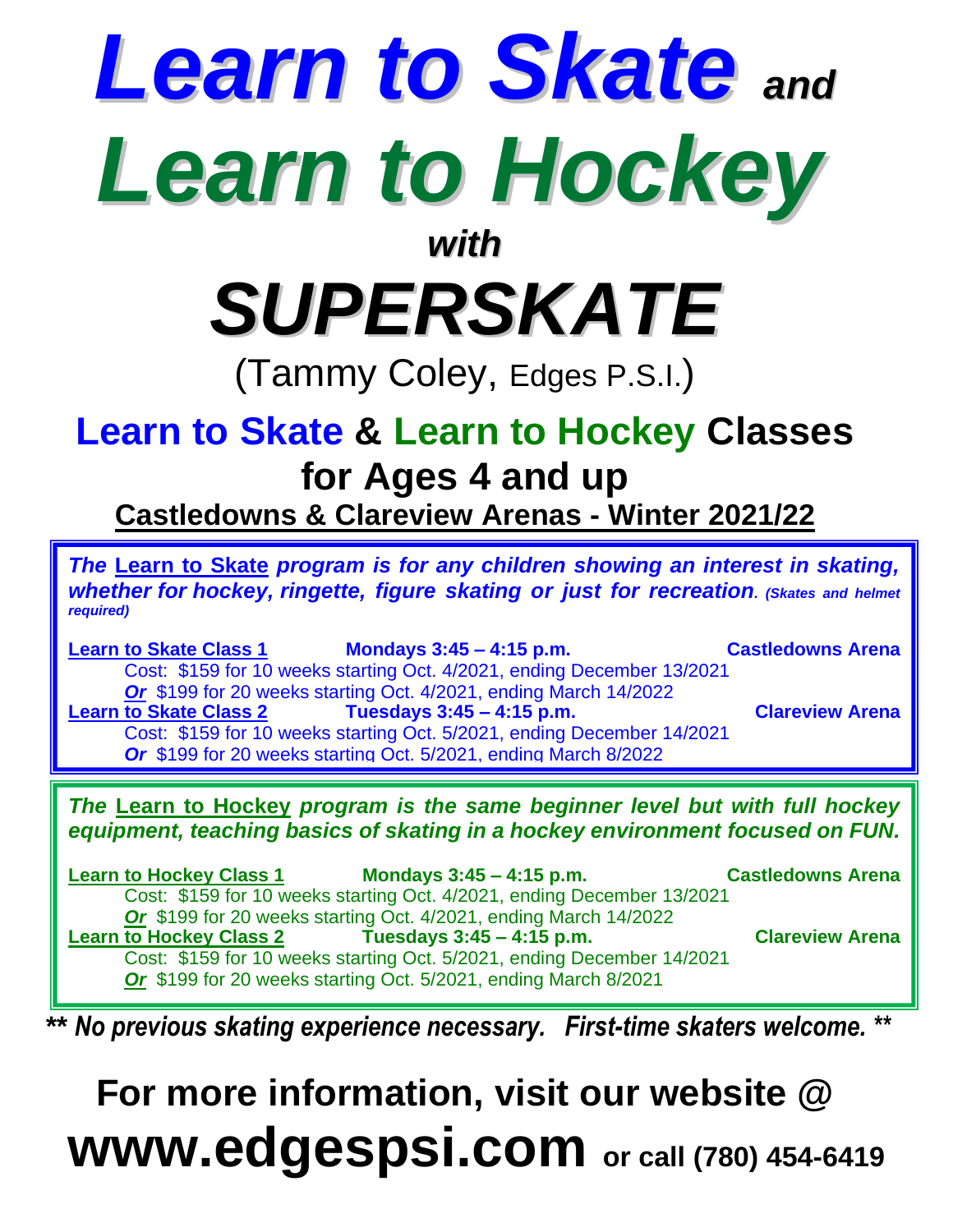## *Learn to Skate and Learn to Hockey with*

*SUPERSKATE*

(Tammy Coley, Edges P.S.I.)

## **Learn to Skate & Learn to Hockey Classes for Ages 4 and up**

**Castledowns & Clareview Arenas - Winter 2021/22**

*The* **Learn to Skate** *program is for any children showing an interest in skating, whether for hockey, ringette, figure skating or just for recreation. (Skates and helmet required)*

**Learn to Skate Class 1 Mondays 3:45 – 4:15 p.m. Castledowns Arena** Cost: \$159 for 10 weeks starting Oct. 4/2021, ending December 13/2021 **Or** \$199 for 20 weeks starting Oct. 4/2021, ending March 14/2022<br>**Learn to Skate Class 2 Tuesdays 3:45 – 4:15 p.m. Learn to Skate Class 2 Tuesdays 3:45 – 4:15 p.m. Clareview Arena** Cost: \$159 for 10 weeks starting Oct. 5/2021, ending December 14/2021 *Or* \$199 for 20 weeks starting Oct. 5/2021, ending March 8/2022

*The* **Learn to Hockey** *program is the same beginner level but with full hockey equipment, teaching basics of skating in a hockey environment focused on FUN.*

**Learn to Hockey Class 1 Mondays 3:45 – 4:15 p.m. Castledowns Arena** Cost: \$159 for 10 weeks starting Oct. 4/2021, ending December 13/2021 *Or* \$199 for 20 weeks starting Oct. 4/2021, ending March 14/2022 **Learn to Hockey Class 2 Tuesdays 3:45 – 4:15 p.m. Clareview Arena** Cost: \$159 for 10 weeks starting Oct. 5/2021, ending December 14/2021 *Or* \$199 for 20 weeks starting Oct. 5/2021, ending March 8/2021

*\*\* No previous skating experience necessary. First-time skaters welcome. \*\**

## **For more information, visit our website @ www.edgespsi.com or call (780) 454-6419**